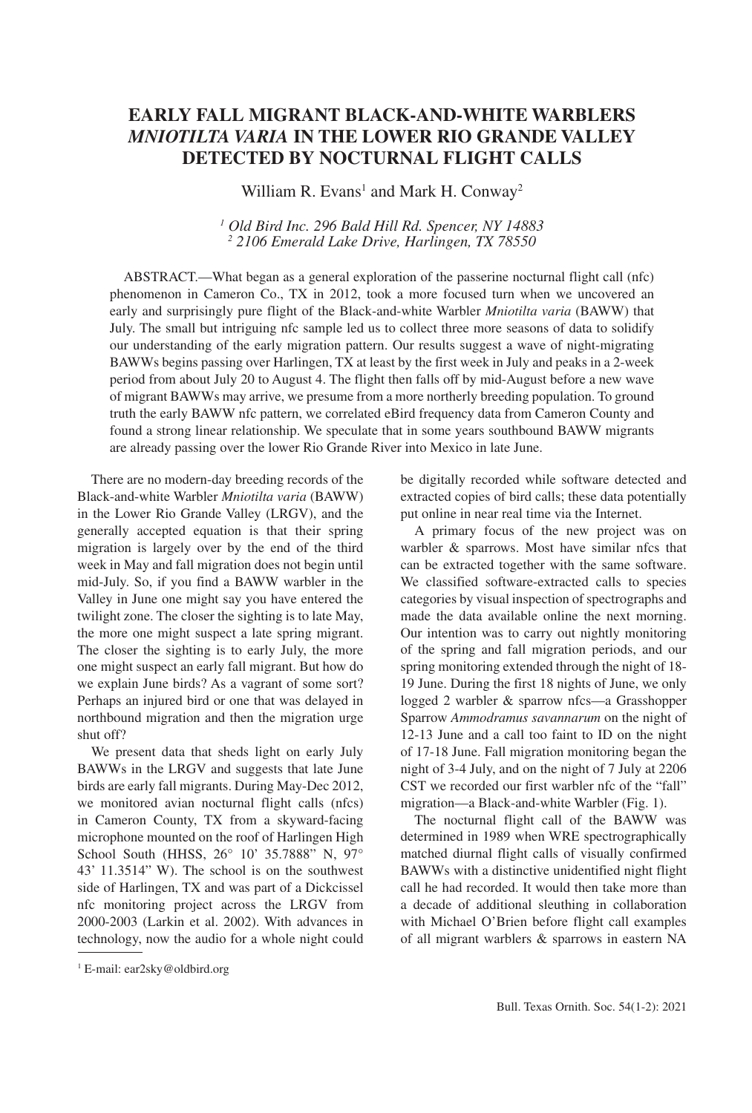# **EARLY FALL MIGRANT BLACK-AND-WHITE WARBLERS**  *MNIOTILTA VARIA* **IN THE LOWER RIO GRANDE VALLEY DETECTED BY NOCTURNAL FLIGHT CALLS**

William R. Evans<sup>1</sup> and Mark H. Conway<sup>2</sup>

*1 Old Bird Inc. 296 Bald Hill Rd. Spencer, NY 14883 2 2106 Emerald Lake Drive, Harlingen, TX 78550*

ABSTRACT.—What began as a general exploration of the passerine nocturnal flight call (nfc) phenomenon in Cameron Co., TX in 2012, took a more focused turn when we uncovered an early and surprisingly pure flight of the Black-and-white Warbler *Mniotilta varia* (BAWW) that July. The small but intriguing nfc sample led us to collect three more seasons of data to solidify our understanding of the early migration pattern. Our results suggest a wave of night-migrating BAWWs begins passing over Harlingen, TX at least by the first week in July and peaks in a 2-week period from about July 20 to August 4. The flight then falls off by mid-August before a new wave of migrant BAWWs may arrive, we presume from a more northerly breeding population. To ground truth the early BAWW nfc pattern, we correlated eBird frequency data from Cameron County and found a strong linear relationship. We speculate that in some years southbound BAWW migrants are already passing over the lower Rio Grande River into Mexico in late June.

There are no modern-day breeding records of the Black-and-white Warbler *Mniotilta varia* (BAWW) in the Lower Rio Grande Valley (LRGV), and the generally accepted equation is that their spring migration is largely over by the end of the third week in May and fall migration does not begin until mid-July. So, if you find a BAWW warbler in the Valley in June one might say you have entered the twilight zone. The closer the sighting is to late May, the more one might suspect a late spring migrant. The closer the sighting is to early July, the more one might suspect an early fall migrant. But how do we explain June birds? As a vagrant of some sort? Perhaps an injured bird or one that was delayed in northbound migration and then the migration urge shut off?

We present data that sheds light on early July BAWWs in the LRGV and suggests that late June birds are early fall migrants. During May-Dec 2012, we monitored avian nocturnal flight calls (nfcs) in Cameron County, TX from a skyward-facing microphone mounted on the roof of Harlingen High School South (HHSS, 26° 10' 35.7888" N, 97° 43' 11.3514" W). The school is on the southwest side of Harlingen, TX and was part of a Dickcissel nfc monitoring project across the LRGV from 2000-2003 (Larkin et al. 2002). With advances in technology, now the audio for a whole night could be digitally recorded while software detected and extracted copies of bird calls; these data potentially put online in near real time via the Internet.

A primary focus of the new project was on warbler & sparrows. Most have similar nfcs that can be extracted together with the same software. We classified software-extracted calls to species categories by visual inspection of spectrographs and made the data available online the next morning. Our intention was to carry out nightly monitoring of the spring and fall migration periods, and our spring monitoring extended through the night of 18- 19 June. During the first 18 nights of June, we only logged 2 warbler & sparrow nfcs—a Grasshopper Sparrow *Ammodramus savannarum* on the night of 12-13 June and a call too faint to ID on the night of 17-18 June. Fall migration monitoring began the night of 3-4 July, and on the night of 7 July at 2206 CST we recorded our first warbler nfc of the "fall" migration—a Black-and-white Warbler (Fig. 1).

The nocturnal flight call of the BAWW was determined in 1989 when WRE spectrographically matched diurnal flight calls of visually confirmed BAWWs with a distinctive unidentified night flight call he had recorded. It would then take more than a decade of additional sleuthing in collaboration with Michael O'Brien before flight call examples of all migrant warblers & sparrows in eastern NA

<sup>1</sup> E-mail: ear2sky@oldbird.org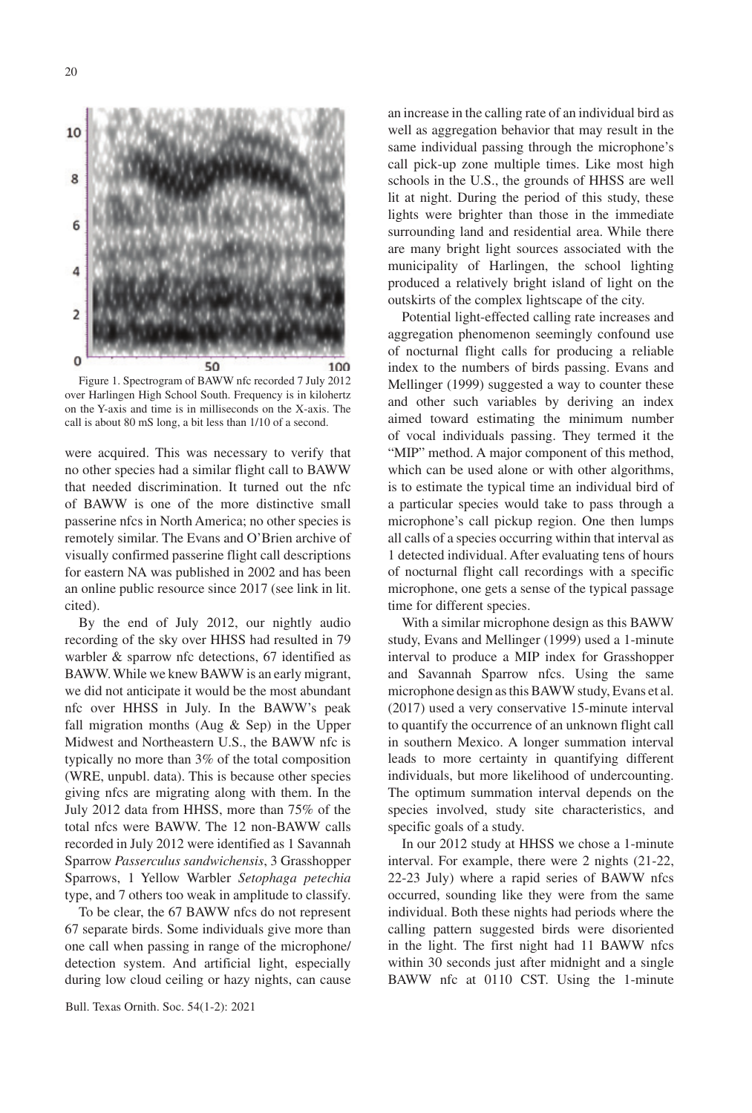

Figure 1. Spectrogram of BAWW nfc recorded 7 July 2012 over Harlingen High School South. Frequency is in kilohertz on the Y-axis and time is in milliseconds on the X-axis. The call is about 80 mS long, a bit less than 1/10 of a second.

were acquired. This was necessary to verify that no other species had a similar flight call to BAWW that needed discrimination. It turned out the nfc of BAWW is one of the more distinctive small passerine nfcs in North America; no other species is remotely similar. The Evans and O'Brien archive of visually confirmed passerine flight call descriptions for eastern NA was published in 2002 and has been an online public resource since 2017 (see link in lit. cited).

By the end of July 2012, our nightly audio recording of the sky over HHSS had resulted in 79 warbler & sparrow nfc detections, 67 identified as BAWW. While we knew BAWW is an early migrant, we did not anticipate it would be the most abundant nfc over HHSS in July. In the BAWW's peak fall migration months (Aug & Sep) in the Upper Midwest and Northeastern U.S., the BAWW nfc is typically no more than 3% of the total composition (WRE, unpubl. data). This is because other species giving nfcs are migrating along with them. In the July 2012 data from HHSS, more than 75% of the total nfcs were BAWW. The 12 non-BAWW calls recorded in July 2012 were identified as 1 Savannah Sparrow *Passerculus sandwichensis*, 3 Grasshopper Sparrows, 1 Yellow Warbler *Setophaga petechia*  type, and 7 others too weak in amplitude to classify.

To be clear, the 67 BAWW nfcs do not represent 67 separate birds. Some individuals give more than one call when passing in range of the microphone/ detection system. And artificial light, especially during low cloud ceiling or hazy nights, can cause

an increase in the calling rate of an individual bird as well as aggregation behavior that may result in the same individual passing through the microphone's call pick-up zone multiple times. Like most high schools in the U.S., the grounds of HHSS are well lit at night. During the period of this study, these lights were brighter than those in the immediate surrounding land and residential area. While there are many bright light sources associated with the municipality of Harlingen, the school lighting produced a relatively bright island of light on the outskirts of the complex lightscape of the city.

Potential light-effected calling rate increases and aggregation phenomenon seemingly confound use of nocturnal flight calls for producing a reliable index to the numbers of birds passing. Evans and Mellinger (1999) suggested a way to counter these and other such variables by deriving an index aimed toward estimating the minimum number of vocal individuals passing. They termed it the "MIP" method. A major component of this method, which can be used alone or with other algorithms, is to estimate the typical time an individual bird of a particular species would take to pass through a microphone's call pickup region. One then lumps all calls of a species occurring within that interval as 1 detected individual. After evaluating tens of hours of nocturnal flight call recordings with a specific microphone, one gets a sense of the typical passage time for different species.

With a similar microphone design as this BAWW study, Evans and Mellinger (1999) used a 1-minute interval to produce a MIP index for Grasshopper and Savannah Sparrow nfcs. Using the same microphone design as this BAWW study, Evans et al. (2017) used a very conservative 15-minute interval to quantify the occurrence of an unknown flight call in southern Mexico. A longer summation interval leads to more certainty in quantifying different individuals, but more likelihood of undercounting. The optimum summation interval depends on the species involved, study site characteristics, and specific goals of a study.

In our 2012 study at HHSS we chose a 1-minute interval. For example, there were 2 nights (21-22, 22-23 July) where a rapid series of BAWW nfcs occurred, sounding like they were from the same individual. Both these nights had periods where the calling pattern suggested birds were disoriented in the light. The first night had 11 BAWW nfcs within 30 seconds just after midnight and a single BAWW nfc at 0110 CST. Using the 1-minute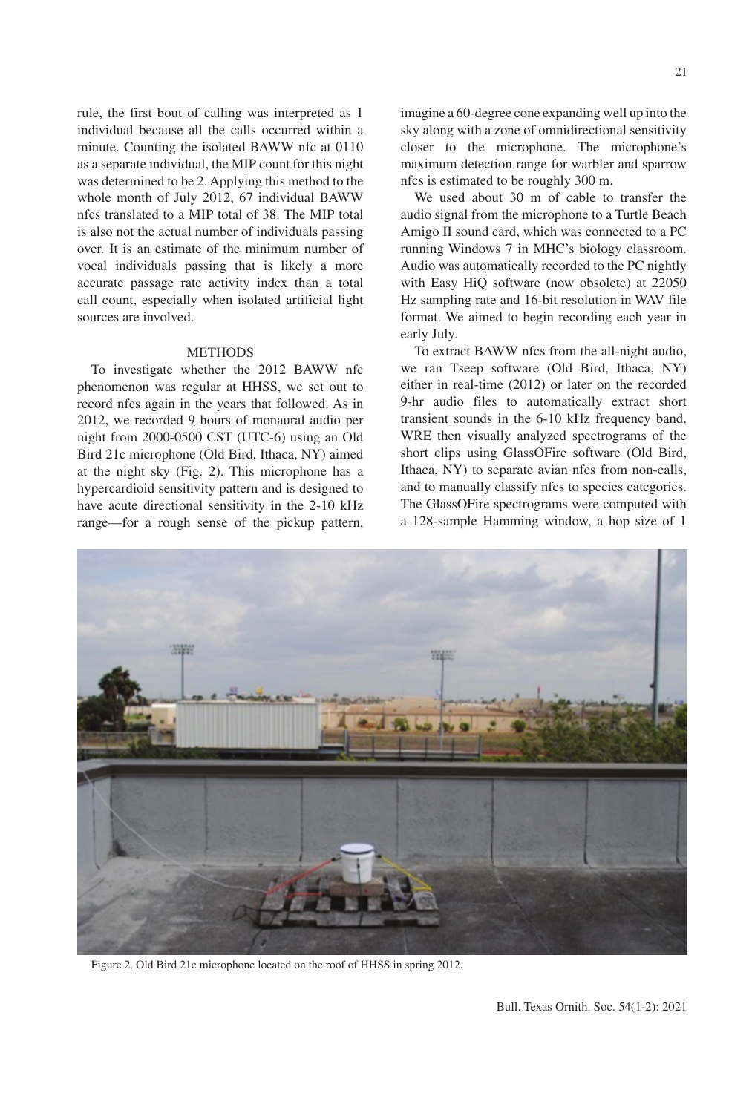rule, the first bout of calling was interpreted as 1 individual because all the calls occurred within a minute. Counting the isolated BAWW nfc at 0110 as a separate individual, the MIP count for this night was determined to be 2. Applying this method to the whole month of July 2012, 67 individual BAWW nfcs translated to a MIP total of 38. The MIP total is also not the actual number of individuals passing over. It is an estimate of the minimum number of vocal individuals passing that is likely a more accurate passage rate activity index than a total call count, especially when isolated artificial light sources are involved.

## METHODS

To investigate whether the 2012 BAWW nfc phenomenon was regular at HHSS, we set out to record nfcs again in the years that followed. As in 2012, we recorded 9 hours of monaural audio per night from 2000-0500 CST (UTC-6) using an Old Bird 21c microphone (Old Bird, Ithaca, NY) aimed at the night sky (Fig. 2). This microphone has a hypercardioid sensitivity pattern and is designed to have acute directional sensitivity in the 2-10 kHz range—for a rough sense of the pickup pattern, imagine a 60-degree cone expanding well up into the sky along with a zone of omnidirectional sensitivity closer to the microphone. The microphone's maximum detection range for warbler and sparrow nfcs is estimated to be roughly 300 m.

We used about 30 m of cable to transfer the audio signal from the microphone to a Turtle Beach Amigo II sound card, which was connected to a PC running Windows 7 in MHC's biology classroom. Audio was automatically recorded to the PC nightly with Easy HiQ software (now obsolete) at 22050 Hz sampling rate and 16-bit resolution in WAV file format. We aimed to begin recording each year in early July.

To extract BAWW nfcs from the all-night audio, we ran Tseep software (Old Bird, Ithaca, NY) either in real-time (2012) or later on the recorded 9-hr audio files to automatically extract short transient sounds in the 6-10 kHz frequency band. WRE then visually analyzed spectrograms of the short clips using GlassOFire software (Old Bird, Ithaca, NY) to separate avian nfcs from non-calls, and to manually classify nfcs to species categories. The GlassOFire spectrograms were computed with a 128-sample Hamming window, a hop size of 1

**TEMP** 

Figure 2. Old Bird 21c microphone located on the roof of HHSS in spring 2012.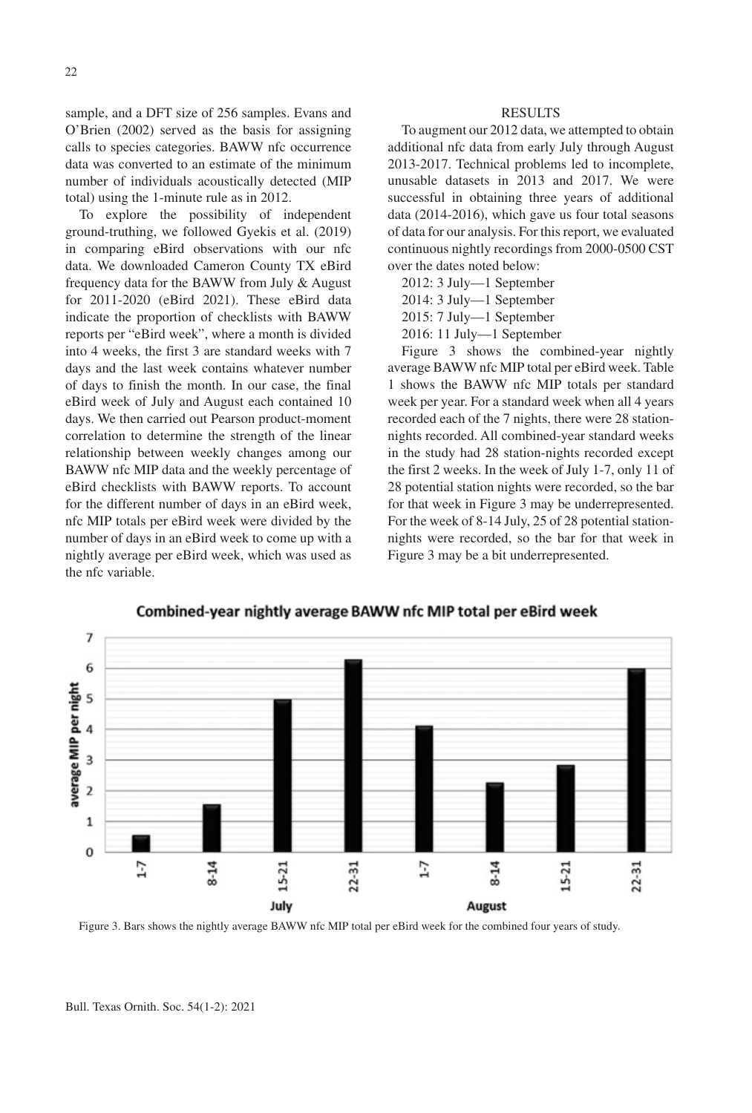sample, and a DFT size of 256 samples. Evans and O'Brien (2002) served as the basis for assigning calls to species categories. BAWW nfc occurrence data was converted to an estimate of the minimum number of individuals acoustically detected (MIP total) using the 1-minute rule as in 2012.

To explore the possibility of independent ground-truthing, we followed Gyekis et al. (2019) in comparing eBird observations with our nfc data. We downloaded Cameron County TX eBird frequency data for the BAWW from July & August for 2011-2020 (eBird 2021). These eBird data indicate the proportion of checklists with BAWW reports per "eBird week", where a month is divided into 4 weeks, the first 3 are standard weeks with 7 days and the last week contains whatever number of days to finish the month. In our case, the final eBird week of July and August each contained 10 days. We then carried out Pearson product-moment correlation to determine the strength of the linear relationship between weekly changes among our BAWW nfc MIP data and the weekly percentage of eBird checklists with BAWW reports. To account for the different number of days in an eBird week, nfc MIP totals per eBird week were divided by the number of days in an eBird week to come up with a nightly average per eBird week, which was used as the nfc variable.

#### **RESULTS**

To augment our 2012 data, we attempted to obtain additional nfc data from early July through August 2013-2017. Technical problems led to incomplete, unusable datasets in 2013 and 2017. We were successful in obtaining three years of additional data (2014-2016), which gave us four total seasons of data for our analysis. For this report, we evaluated continuous nightly recordings from 2000-0500 CST over the dates noted below:

- 2012: 3 July—1 September
- 2014: 3 July—1 September
- 2015: 7 July—1 September
- 2016: 11 July—1 September

Figure 3 shows the combined-year nightly average BAWW nfc MIP total per eBird week. Table 1 shows the BAWW nfc MIP totals per standard week per year. For a standard week when all 4 years recorded each of the 7 nights, there were 28 stationnights recorded. All combined-year standard weeks in the study had 28 station-nights recorded except the first 2 weeks. In the week of July 1-7, only 11 of 28 potential station nights were recorded, so the bar for that week in Figure 3 may be underrepresented. For the week of 8-14 July, 25 of 28 potential stationnights were recorded, so the bar for that week in Figure 3 may be a bit underrepresented.



Combined-year nightly average BAWW nfc MIP total per eBird week

Figure 3. Bars shows the nightly average BAWW nfc MIP total per eBird week for the combined four years of study.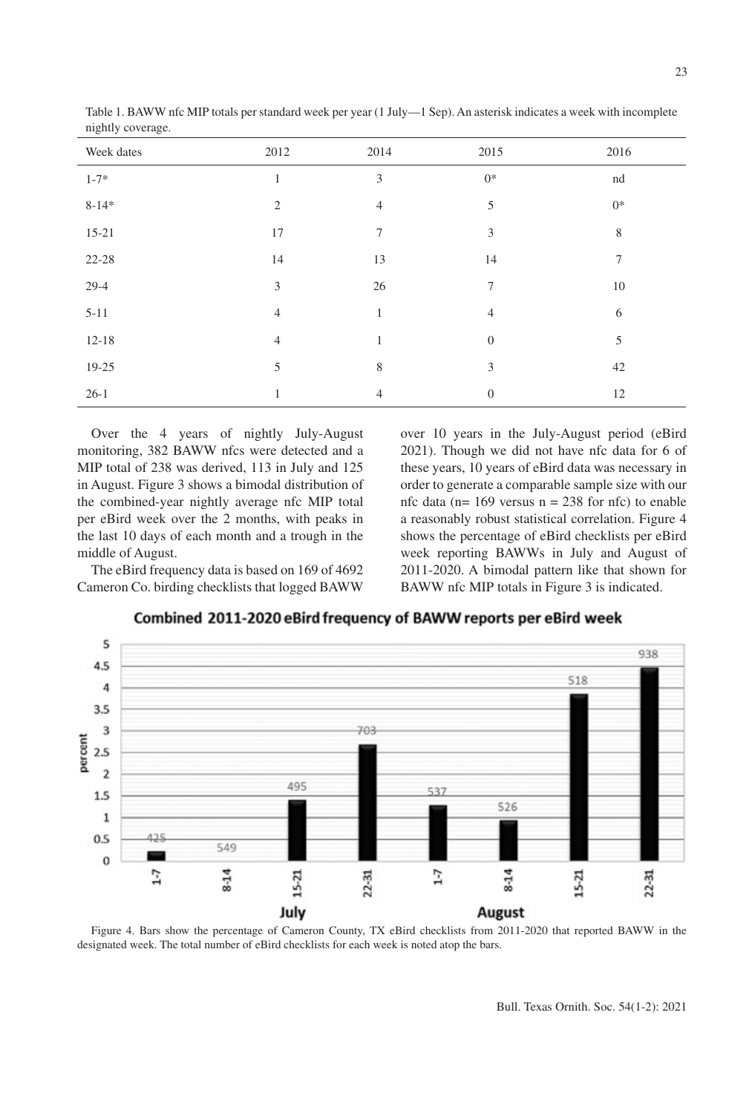| $\sim$ $\sim$<br>$\tilde{}$ |                |                |                |             |
|-----------------------------|----------------|----------------|----------------|-------------|
| Week dates                  | 2012           | 2014           | 2015           | 2016        |
| $1 - 7*$                    | $\mathbf{1}$   | 3              | $0^*$          | nd          |
| $8 - 14*$                   | $\mathfrak{2}$ | $\overline{4}$ | 5              | $0^*$       |
| $15 - 21$                   | 17             | $\tau$         | 3              | $\,$ 8 $\,$ |
| $22 - 28$                   | 14             | 13             | 14             | 7           |
| $29-4$                      | 3              | 26             | 7              | 10          |
| $5 - 11$                    | $\overline{4}$ | 1              | $\overline{4}$ | 6           |
| $12 - 18$                   | $\overline{4}$ | 1              | $\mathbf{0}$   | 5           |
| 19-25                       | 5              | 8              | 3              | 42          |
| $26-1$                      | 1              | 4              | $\theta$       | 12          |
|                             |                |                |                |             |

Table 1. BAWW nfc MIP totals per standard week per year (1 July—1 Sep). An asterisk indicates a week with incomplete nightly coverage.

Over the 4 years of nightly July-August monitoring, 382 BAWW nfcs were detected and a MIP total of 238 was derived, 113 in July and 125 in August. Figure 3 shows a bimodal distribution of the combined-year nightly average nfc MIP total per eBird week over the 2 months, with peaks in the last 10 days of each month and a trough in the middle of August.

The eBird frequency data is based on 169 of 4692 Cameron Co. birding checklists that logged BAWW

over 10 years in the July-August period (eBird 2021). Though we did not have nfc data for 6 of these years, 10 years of eBird data was necessary in order to generate a comparable sample size with our nfc data ( $n= 169$  versus  $n = 238$  for nfc) to enable a reasonably robust statistical correlation. Figure 4 shows the percentage of eBird checklists per eBird week reporting BAWWs in July and August of 2011-2020. A bimodal pattern like that shown for BAWW nfc MIP totals in Figure 3 is indicated.

5 938 4.5 518  $\overline{4}$  $3.5$ 3 percent  $2.5$  $\overline{2}$ 495 537  $1.5$ 526  $\mathbf{1}$  $0.5$ 12 549 0 8-14  $22 - 31$ 1-7 15-21  $22 - 31$  $1 - 7$  $15 - 21$  $\frac{4}{5}$ July August

Combined 2011-2020 eBird frequency of BAWW reports per eBird week

Figure 4. Bars show the percentage of Cameron County, TX eBird checklists from 2011-2020 that reported BAWW in the designated week. The total number of eBird checklists for each week is noted atop the bars.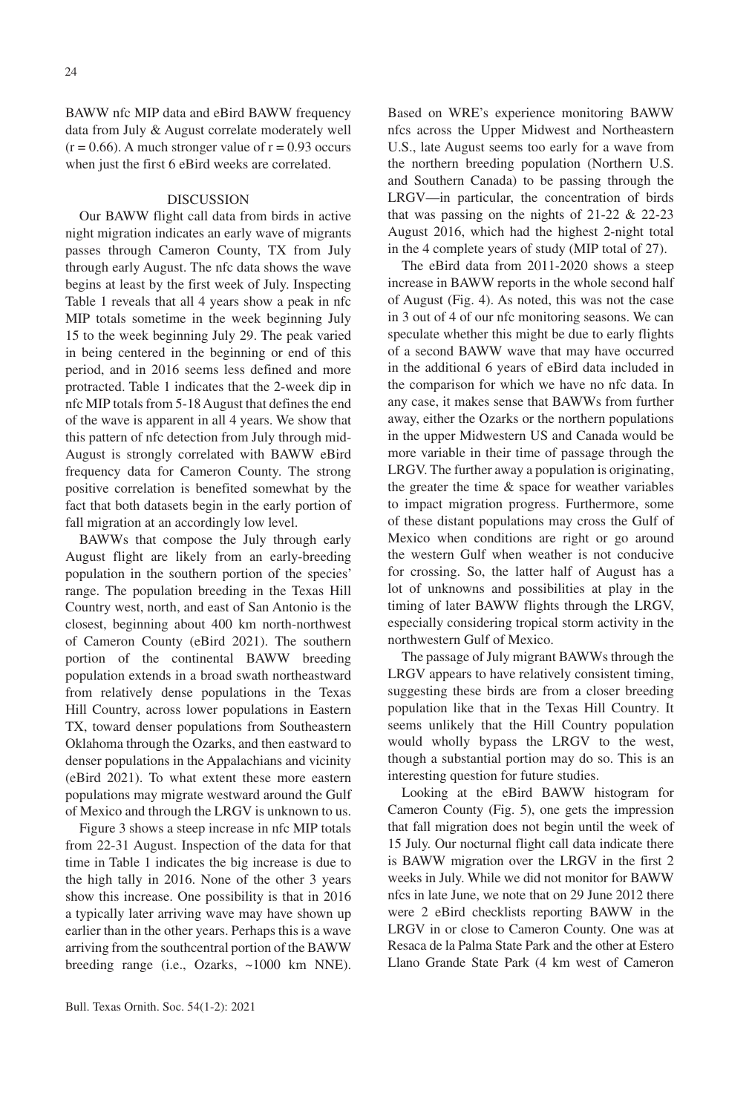24

BAWW nfc MIP data and eBird BAWW frequency data from July & August correlate moderately well  $(r = 0.66)$ . A much stronger value of  $r = 0.93$  occurs when just the first 6 eBird weeks are correlated.

#### DISCUSSION

Our BAWW flight call data from birds in active night migration indicates an early wave of migrants passes through Cameron County, TX from July through early August. The nfc data shows the wave begins at least by the first week of July. Inspecting Table 1 reveals that all 4 years show a peak in nfc MIP totals sometime in the week beginning July 15 to the week beginning July 29. The peak varied in being centered in the beginning or end of this period, and in 2016 seems less defined and more protracted. Table 1 indicates that the 2-week dip in nfc MIP totals from 5-18 August that defines the end of the wave is apparent in all 4 years. We show that this pattern of nfc detection from July through mid-August is strongly correlated with BAWW eBird frequency data for Cameron County. The strong positive correlation is benefited somewhat by the fact that both datasets begin in the early portion of fall migration at an accordingly low level.

BAWWs that compose the July through early August flight are likely from an early-breeding population in the southern portion of the species' range. The population breeding in the Texas Hill Country west, north, and east of San Antonio is the closest, beginning about 400 km north-northwest of Cameron County (eBird 2021). The southern portion of the continental BAWW breeding population extends in a broad swath northeastward from relatively dense populations in the Texas Hill Country, across lower populations in Eastern TX, toward denser populations from Southeastern Oklahoma through the Ozarks, and then eastward to denser populations in the Appalachians and vicinity (eBird 2021). To what extent these more eastern populations may migrate westward around the Gulf of Mexico and through the LRGV is unknown to us.

Figure 3 shows a steep increase in nfc MIP totals from 22-31 August. Inspection of the data for that time in Table 1 indicates the big increase is due to the high tally in 2016. None of the other 3 years show this increase. One possibility is that in 2016 a typically later arriving wave may have shown up earlier than in the other years. Perhaps this is a wave arriving from the southcentral portion of the BAWW breeding range (i.e., Ozarks, ~1000 km NNE).

Based on WRE's experience monitoring BAWW nfcs across the Upper Midwest and Northeastern U.S., late August seems too early for a wave from the northern breeding population (Northern U.S. and Southern Canada) to be passing through the LRGV—in particular, the concentration of birds that was passing on the nights of  $21-22 \& 22-23$ August 2016, which had the highest 2-night total in the 4 complete years of study (MIP total of 27).

The eBird data from 2011-2020 shows a steep increase in BAWW reports in the whole second half of August (Fig. 4). As noted, this was not the case in 3 out of 4 of our nfc monitoring seasons. We can speculate whether this might be due to early flights of a second BAWW wave that may have occurred in the additional 6 years of eBird data included in the comparison for which we have no nfc data. In any case, it makes sense that BAWWs from further away, either the Ozarks or the northern populations in the upper Midwestern US and Canada would be more variable in their time of passage through the LRGV. The further away a population is originating, the greater the time & space for weather variables to impact migration progress. Furthermore, some of these distant populations may cross the Gulf of Mexico when conditions are right or go around the western Gulf when weather is not conducive for crossing. So, the latter half of August has a lot of unknowns and possibilities at play in the timing of later BAWW flights through the LRGV, especially considering tropical storm activity in the northwestern Gulf of Mexico.

The passage of July migrant BAWWs through the LRGV appears to have relatively consistent timing, suggesting these birds are from a closer breeding population like that in the Texas Hill Country. It seems unlikely that the Hill Country population would wholly bypass the LRGV to the west, though a substantial portion may do so. This is an interesting question for future studies.

Looking at the eBird BAWW histogram for Cameron County (Fig. 5), one gets the impression that fall migration does not begin until the week of 15 July. Our nocturnal flight call data indicate there is BAWW migration over the LRGV in the first 2 weeks in July. While we did not monitor for BAWW nfcs in late June, we note that on 29 June 2012 there were 2 eBird checklists reporting BAWW in the LRGV in or close to Cameron County. One was at Resaca de la Palma State Park and the other at Estero Llano Grande State Park (4 km west of Cameron